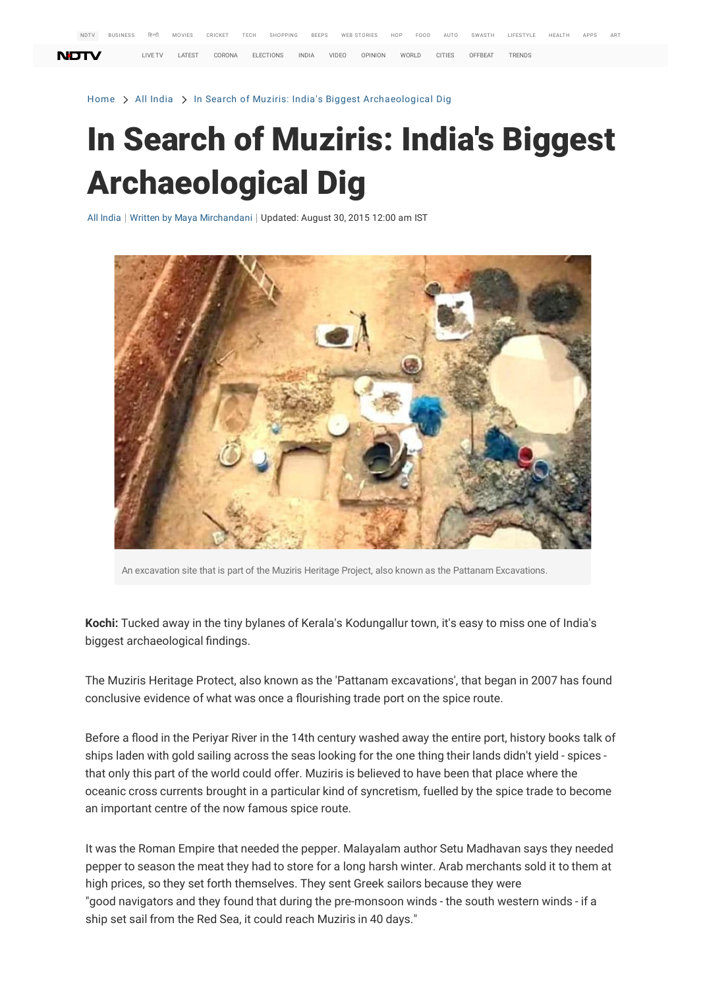Home > All India > In Search of Muziris: India's Biggest Archaeological Dig

## In Search of Muziris: India's Biggest Archaeological Dig

All India | Written by Maya Mirchandani | Updated: August 30, 2015 12:00 am IST



An excavation site that is part of the Muziris Herita[ge Pr](javascript:void(0);)oject, also known as the Pattanam Excavations.

**[Kochi:](https://www.ndtv.com/webstories/sports)** [Tucked away in the tiny bylanes of Kerala's Kodungallur town, it's easy to miss one of India's](https://www.ndtv.com/webstories/tech) [biggest arch](https://sports.ndtv.com/webstories/sports/india-vs-england-odi-series-preview-2056?utm_source=www.ndtv.com&utm_medium=web-page&utm_campaign=webstories)aeological findings.

[The Muziris](https://gadgets.ndtv.com/webstories/tech/samsung-galaxy-a52-hands-on-first-look-price-india-launch-specs-camera-2061?utm_source=www.ndtv.com&utm_medium=web-page&utm_campaign=webstories) Heritage Protect, also known as the 'Pattanam excavations', that began in 2007 has found [conclusive e](https://gadgets.ndtv.com/webstories/tech/samsung-galaxy-a52-hands-on-first-look-price-india-launch-specs-camera-2061?utm_source=www.ndtv.com&utm_medium=web-page&utm_campaign=webstories)vidence of what was once a flourishing trade port on the spice route.

Before a flood in the Periyar River in the 14th century washed away the entire port, hist[ory books](https://www.ndtv.com/india-news/herbalife%20products) talk of ships laden with gold sailing across the seas looking for the one thing their lands didn't yield - spic[es](https://www.ndtv.com/world-news)  that only this part of the world could offer. Muziris is believed to have been that place where the oceanic cross currents brought in a particular kind of syncretism, fuell[ed by the](https://hotdeals360.com/hacked-movie-91464) spice trade to become an important centre of the now famous spice route.

It was the Roman Empire that needed the pepper. Malayalam author Setu Madhavan says they needed pepper to season the meat they had to store for a long harsh winter. Arab merchants sold it to them at high prices, so they set forth themselves. They sent Greek sailors because they were "good navigators and they found that during the pre-monsoon winds - the south western winds - if a ship set sail from the Red Sea, it could reach Muziris in 40 days."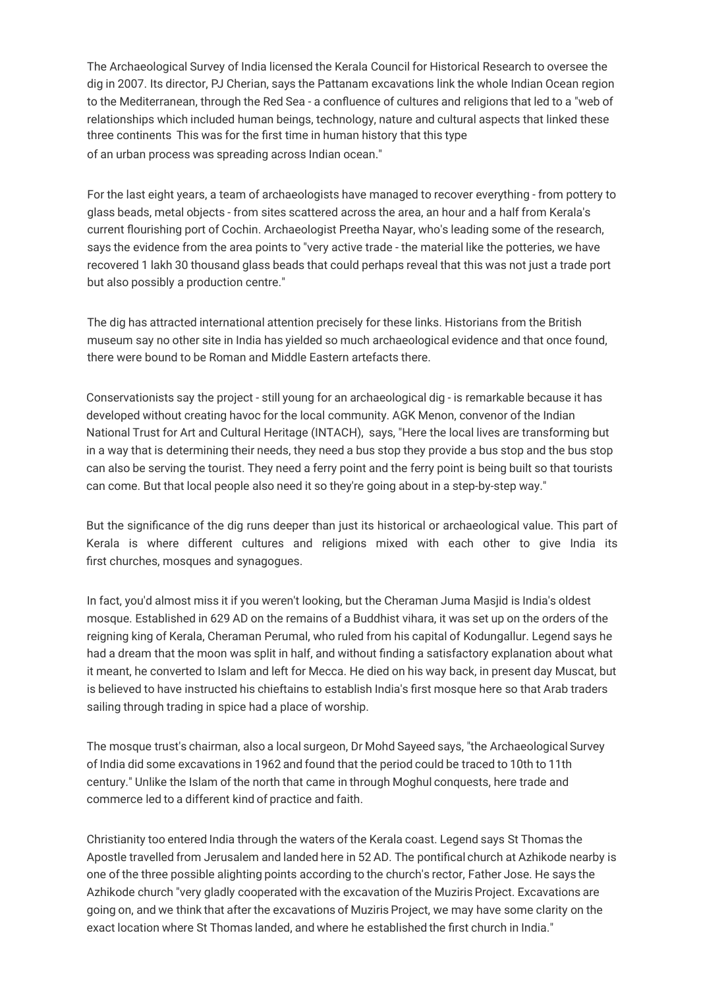The Archaeological Survey of India licensed the Kerala Council for Historical Research to oversee the dig in 2007. Its director, PJ Cherian, says the Pattanam excavations link the whole Indian Ocean region to the Mediterranean, through the Red Sea - a confluence of cultures and religions that led to a "web of relationships which included human beings, technology, nature and cultural aspects that linked these three continents This was for the first time in human history that this type of an urban process was spreading across Indian ocean."

For the last eight years, a team of archaeologists have managed to recover everything - from pottery to glass beads, metal objects - from sites scattered across the area, an hour and a half from Kerala's current flourishing port of Cochin. Archaeologist Preetha Nayar, who's leading some of the research, says the evidence from the area points to "very active trade - the material like the potteries, we have recovered 1 lakh 30 thousand glass beads that could perhaps reveal that this was not just a trade port but also possibly a production centre."

The dig has attracted international attention precisely for these links. Historians from the British museum say no other site in India has yielded so much archaeological evidence and that once found, there were bound to be Roman and Middle Eastern artefacts there.

Conservationists say the project - still young for an archaeological dig - is remarkable because it has developed without creating havoc for the local community. AGK Menon, convenor of the Indian National Trust for Art and Cultural Heritage (INTACH), says, "Here the local lives are transforming but in a way that is determining their needs, they need a bus stop they provide a bus stop and the bus stop can also be serving the tourist. They need a ferry point and the ferry point is being built so that tourists can come. But that local people also need it so they're going about in a step-by-step way."

But the significance of the dig runs deeper than just its historical or archaeological value. This part of Kerala is where different cultures and religions mixed with each other to give India its first churches, mosques and synagogues.

In fact, you'd almost miss it if you weren't looking, but the Cheraman Juma Masjid is India's oldest mosque. Established in 629 AD on the remains of a Buddhist vihara, it was set up on the orders of the reigning king of Kerala, Cheraman Perumal, who ruled from his capital of Kodungallur. Legend says he had a dream that the moon was split in half, and without finding a satisfactory explanation about what it meant, he converted to Islam and left for Mecca. He died on his way back, in present day Muscat, but is believed to have instructed his chieftains to establish India's first mosque here so that Arab traders sailing through trading in spice had a place of worship.

The mosque trust's chairman, also a local surgeon, Dr Mohd Sayeed says, "the Archaeological Survey of India did some excavations in 1962 and found that the period could be traced to 10th to 11th century." Unlike the Islam of the north that came in through Moghul conquests, here trade and commerce led to a different kind of practice and faith.

Christianity too entered India through the waters of the Kerala coast. Legend says St Thomas the Apostle travelled from Jerusalem and landed here in 52 AD. The pontifical church at Azhikode nearby is one of the three possible alighting points according to the church's rector, Father Jose. He says the Azhikode church "very gladly cooperated with the excavation of the Muziris Project. Excavations are going on, and we think that after the excavations of Muziris Project, we may have some clarity on the exact location where St Thomas landed, and where he established the first church in India."